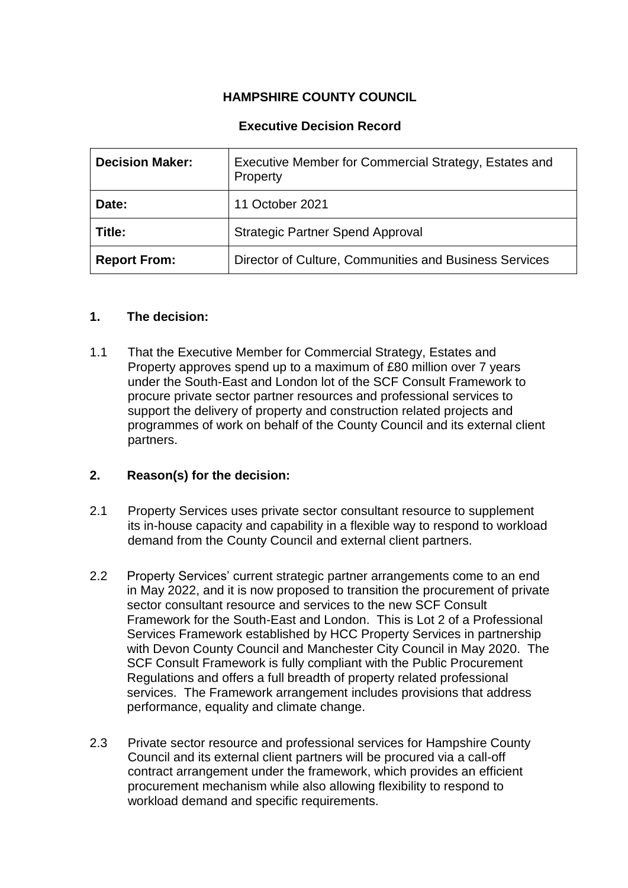# **HAMPSHIRE COUNTY COUNCIL**

### **Executive Decision Record**

| <b>Decision Maker:</b> | Executive Member for Commercial Strategy, Estates and<br>Property |
|------------------------|-------------------------------------------------------------------|
| Date:                  | 11 October 2021                                                   |
| Title:                 | <b>Strategic Partner Spend Approval</b>                           |
| <b>Report From:</b>    | Director of Culture, Communities and Business Services            |

#### **1. The decision:**

1.1 That the Executive Member for Commercial Strategy, Estates and Property approves spend up to a maximum of £80 million over 7 years under the South-East and London lot of the SCF Consult Framework to procure private sector partner resources and professional services to support the delivery of property and construction related projects and programmes of work on behalf of the County Council and its external client partners.

#### **2. Reason(s) for the decision:**

- 2.1 Property Services uses private sector consultant resource to supplement its in-house capacity and capability in a flexible way to respond to workload demand from the County Council and external client partners.
- 2.2 Property Services' current strategic partner arrangements come to an end in May 2022, and it is now proposed to transition the procurement of private sector consultant resource and services to the new SCF Consult Framework for the South-East and London. This is Lot 2 of a Professional Services Framework established by HCC Property Services in partnership with Devon County Council and Manchester City Council in May 2020. The SCF Consult Framework is fully compliant with the Public Procurement Regulations and offers a full breadth of property related professional services. The Framework arrangement includes provisions that address performance, equality and climate change.
- 2.3 Private sector resource and professional services for Hampshire County Council and its external client partners will be procured via a call-off contract arrangement under the framework, which provides an efficient procurement mechanism while also allowing flexibility to respond to workload demand and specific requirements.